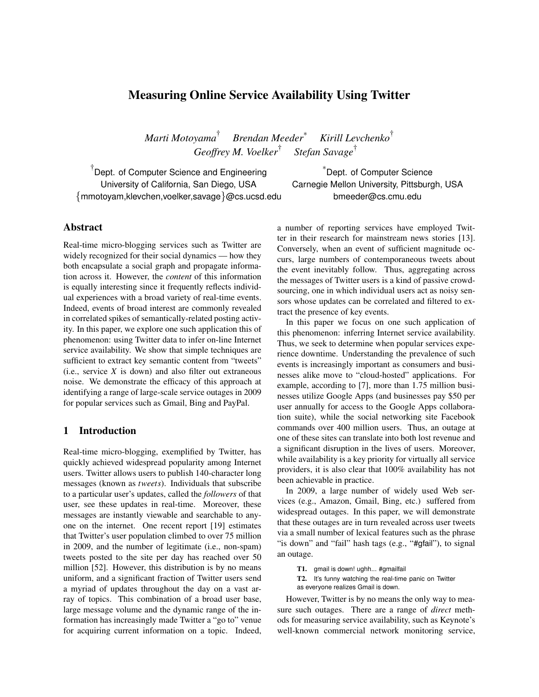# Measuring Online Service Availability Using Twitter

*Marti Motoyama*† *Brendan Meeder*<sup>∗</sup> *Kirill Levchenko*† *Geoffrey M. Voelker*† *Stefan Savage*†

† Dept. of Computer Science and Engineering <sup>∗</sup> University of California, San Diego, USA Carnegie Mellon University, Pittsburgh, USA {mmotoyam,klevchen,voelker,savage}@cs.ucsd.edu bmeeder@cs.cmu.edu

Dept. of Computer Science

## Abstract

Real-time micro-blogging services such as Twitter are widely recognized for their social dynamics — how they both encapsulate a social graph and propagate information across it. However, the *content* of this information is equally interesting since it frequently reflects individual experiences with a broad variety of real-time events. Indeed, events of broad interest are commonly revealed in correlated spikes of semantically-related posting activity. In this paper, we explore one such application this of phenomenon: using Twitter data to infer on-line Internet service availability. We show that simple techniques are sufficient to extract key semantic content from "tweets" (i.e., service *X* is down) and also filter out extraneous noise. We demonstrate the efficacy of this approach at identifying a range of large-scale service outages in 2009 for popular services such as Gmail, Bing and PayPal.

## 1 Introduction

Real-time micro-blogging, exemplified by Twitter, has quickly achieved widespread popularity among Internet users. Twitter allows users to publish 140-character long messages (known as *tweets*). Individuals that subscribe to a particular user's updates, called the *followers* of that user, see these updates in real-time. Moreover, these messages are instantly viewable and searchable to anyone on the internet. One recent report [19] estimates that Twitter's user population climbed to over 75 million in 2009, and the number of legitimate (i.e., non-spam) tweets posted to the site per day has reached over 50 million [52]. However, this distribution is by no means uniform, and a significant fraction of Twitter users send a myriad of updates throughout the day on a vast array of topics. This combination of a broad user base, large message volume and the dynamic range of the information has increasingly made Twitter a "go to" venue for acquiring current information on a topic. Indeed, a number of reporting services have employed Twitter in their research for mainstream news stories [13]. Conversely, when an event of sufficient magnitude occurs, large numbers of contemporaneous tweets about the event inevitably follow. Thus, aggregating across the messages of Twitter users is a kind of passive crowdsourcing, one in which individual users act as noisy sensors whose updates can be correlated and filtered to extract the presence of key events.

In this paper we focus on one such application of this phenomenon: inferring Internet service availability. Thus, we seek to determine when popular services experience downtime. Understanding the prevalence of such events is increasingly important as consumers and businesses alike move to "cloud-hosted" applications. For example, according to [7], more than 1.75 million businesses utilize Google Apps (and businesses pay \$50 per user annually for access to the Google Apps collaboration suite), while the social networking site Facebook commands over 400 million users. Thus, an outage at one of these sites can translate into both lost revenue and a significant disruption in the lives of users. Moreover, while availability is a key priority for virtually all service providers, it is also clear that 100% availability has not been achievable in practice.

In 2009, a large number of widely used Web services (e.g., Amazon, Gmail, Bing, etc.) suffered from widespread outages. In this paper, we will demonstrate that these outages are in turn revealed across user tweets via a small number of lexical features such as the phrase "is down" and "fail" hash tags (e.g., "#gfail"), to signal an outage.

T1. gmail is down! ughh... #gmailfail

T2. It's funny watching the real-time panic on Twitter as everyone realizes Gmail is down.

However, Twitter is by no means the only way to measure such outages. There are a range of *direct* methods for measuring service availability, such as Keynote's well-known commercial network monitoring service,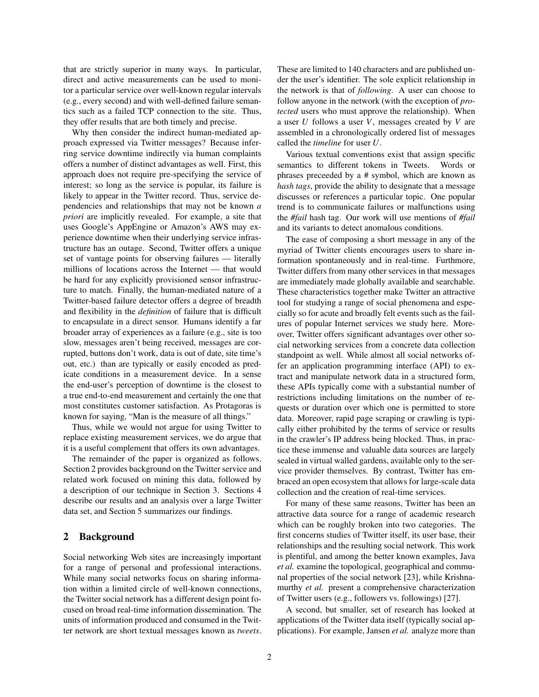that are strictly superior in many ways. In particular, direct and active measurements can be used to monitor a particular service over well-known regular intervals (e.g., every second) and with well-defined failure semantics such as a failed TCP connection to the site. Thus, they offer results that are both timely and precise.

Why then consider the indirect human-mediated approach expressed via Twitter messages? Because inferring service downtime indirectly via human complaints offers a number of distinct advantages as well. First, this approach does not require pre-specifying the service of interest; so long as the service is popular, its failure is likely to appear in the Twitter record. Thus, service dependencies and relationships that may not be known *a priori* are implicitly revealed. For example, a site that uses Google's AppEngine or Amazon's AWS may experience downtime when their underlying service infrastructure has an outage. Second, Twitter offers a unique set of vantage points for observing failures — literally millions of locations across the Internet — that would be hard for any explicitly provisioned sensor infrastructure to match. Finally, the human-mediated nature of a Twitter-based failure detector offers a degree of breadth and flexibility in the *definition* of failure that is difficult to encapsulate in a direct sensor. Humans identify a far broader array of experiences as a failure (e.g., site is too slow, messages aren't being received, messages are corrupted, buttons don't work, data is out of date, site time's out, etc.) than are typically or easily encoded as predicate conditions in a measurement device. In a sense the end-user's perception of downtime is the closest to a true end-to-end measurement and certainly the one that most constitutes customer satisfaction. As Protagoras is known for saying, "Man is the measure of all things."

Thus, while we would not argue for using Twitter to replace existing measurement services, we do argue that it is a useful complement that offers its own advantages.

The remainder of the paper is organized as follows. Section 2 provides background on the Twitter service and related work focused on mining this data, followed by a description of our technique in Section 3. Sections 4 describe our results and an analysis over a large Twitter data set, and Section 5 summarizes our findings.

## 2 Background

Social networking Web sites are increasingly important for a range of personal and professional interactions. While many social networks focus on sharing information within a limited circle of well-known connections, the Twitter social network has a different design point focused on broad real-time information dissemination. The units of information produced and consumed in the Twitter network are short textual messages known as *tweets*. These are limited to 140 characters and are published under the user's identifier. The sole explicit relationship in the network is that of *following*. A user can choose to follow anyone in the network (with the exception of *protected* users who must approve the relationship). When a user *U* follows a user *V*, messages created by *V* are assembled in a chronologically ordered list of messages called the *timeline* for user *U*.

Various textual conventions exist that assign specific semantics to different tokens in Tweets. Words or phrases preceeded by a # symbol, which are known as *hash tags*, provide the ability to designate that a message discusses or references a particular topic. One popular trend is to communicate failures or malfunctions using the *#fail* hash tag. Our work will use mentions of *#fail* and its variants to detect anomalous conditions.

The ease of composing a short message in any of the myriad of Twitter clients encourages users to share information spontaneously and in real-time. Furthmore, Twitter differs from many other services in that messages are immediately made globally available and searchable. These characteristics together make Twitter an attractive tool for studying a range of social phenomena and especially so for acute and broadly felt events such as the failures of popular Internet services we study here. Moreover, Twitter offers significant advantages over other social networking services from a concrete data collection standpoint as well. While almost all social networks offer an application programming interface (API) to extract and manipulate network data in a structured form, these APIs typically come with a substantial number of restrictions including limitations on the number of requests or duration over which one is permitted to store data. Moreover, rapid page scraping or crawling is typically either prohibited by the terms of service or results in the crawler's IP address being blocked. Thus, in practice these immense and valuable data sources are largely sealed in virtual walled gardens, available only to the service provider themselves. By contrast, Twitter has embraced an open ecosystem that allows for large-scale data collection and the creation of real-time services.

For many of these same reasons, Twitter has been an attractive data source for a range of academic research which can be roughly broken into two categories. The first concerns studies of Twitter itself, its user base, their relationships and the resulting social network. This work is plentiful, and among the better known examples, Java *et al.* examine the topological, geographical and communal properties of the social network [23], while Krishnamurthy *et al.* present a comprehensive characterization of Twitter users (e.g., followers vs. followings) [27].

A second, but smaller, set of research has looked at applications of the Twitter data itself (typically social applications). For example, Jansen *et al.* analyze more than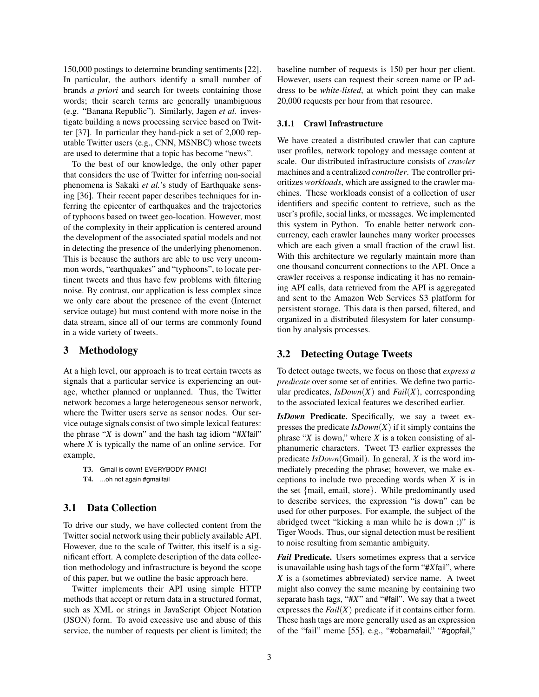150,000 postings to determine branding sentiments [22]. In particular, the authors identify a small number of brands *a priori* and search for tweets containing those words; their search terms are generally unambiguous (e.g. "Banana Republic"). Similarly, Jagen *et al.* investigate building a news processing service based on Twitter [37]. In particular they hand-pick a set of 2,000 reputable Twitter users (e.g., CNN, MSNBC) whose tweets are used to determine that a topic has become "news".

To the best of our knowledge, the only other paper that considers the use of Twitter for inferring non-social phenomena is Sakaki *et al.*'s study of Earthquake sensing [36]. Their recent paper describes techniques for inferring the epicenter of earthquakes and the trajectories of typhoons based on tweet geo-location. However, most of the complexity in their application is centered around the development of the associated spatial models and not in detecting the presence of the underlying phenomenon. This is because the authors are able to use very uncommon words, "earthquakes" and "typhoons", to locate pertinent tweets and thus have few problems with filtering noise. By contrast, our application is less complex since we only care about the presence of the event (Internet service outage) but must contend with more noise in the data stream, since all of our terms are commonly found in a wide variety of tweets.

### 3 Methodology

At a high level, our approach is to treat certain tweets as signals that a particular service is experiencing an outage, whether planned or unplanned. Thus, the Twitter network becomes a large heterogeneous sensor network, where the Twitter users serve as sensor nodes. Our service outage signals consist of two simple lexical features: the phrase "*X* is down" and the hash tag idiom "#*X*fail" where *X* is typically the name of an online service. For example,

- T3. Gmail is down! EVERYBODY PANIC!
- T4. ...oh not again #gmailfail

#### 3.1 Data Collection

To drive our study, we have collected content from the Twitter social network using their publicly available API. However, due to the scale of Twitter, this itself is a significant effort. A complete description of the data collection methodology and infrastructure is beyond the scope of this paper, but we outline the basic approach here.

Twitter implements their API using simple HTTP methods that accept or return data in a structured format, such as XML or strings in JavaScript Object Notation (JSON) form. To avoid excessive use and abuse of this service, the number of requests per client is limited; the baseline number of requests is 150 per hour per client. However, users can request their screen name or IP address to be *white-listed*, at which point they can make 20,000 requests per hour from that resource.

#### 3.1.1 Crawl Infrastructure

We have created a distributed crawler that can capture user profiles, network topology and message content at scale. Our distributed infrastructure consists of *crawler* machines and a centralized *controller*. The controller prioritizes *workloads*, which are assigned to the crawler machines. These workloads consist of a collection of user identifiers and specific content to retrieve, such as the user's profile, social links, or messages. We implemented this system in Python. To enable better network concurrency, each crawler launches many worker processes which are each given a small fraction of the crawl list. With this architecture we regularly maintain more than one thousand concurrent connections to the API. Once a crawler receives a response indicating it has no remaining API calls, data retrieved from the API is aggregated and sent to the Amazon Web Services S3 platform for persistent storage. This data is then parsed, filtered, and organized in a distributed filesystem for later consumption by analysis processes.

### 3.2 Detecting Outage Tweets

To detect outage tweets, we focus on those that *express a predicate* over some set of entities. We define two particular predicates,  $IsDown(X)$  and  $Fall(X)$ , corresponding to the associated lexical features we described earlier.

*IsDown* Predicate. Specifically, we say a tweet expresses the predicate  $IsDown(X)$  if it simply contains the phrase "*X* is down," where *X* is a token consisting of alphanumeric characters. Tweet T3 earlier expresses the predicate *IsDown*(Gmail). In general, *X* is the word immediately preceding the phrase; however, we make exceptions to include two preceding words when *X* is in the set {mail, email, store}. While predominantly used to describe services, the expression "is down" can be used for other purposes. For example, the subject of the abridged tweet "kicking a man while he is down ;)" is Tiger Woods. Thus, our signal detection must be resilient to noise resulting from semantic ambiguity.

*Fail* Predicate. Users sometimes express that a service is unavailable using hash tags of the form "#*X*fail", where *X* is a (sometimes abbreviated) service name. A tweet might also convey the same meaning by containing two separate hash tags, "#*X*" and "#fail". We say that a tweet expresses the  $Fail(X)$  predicate if it contains either form. These hash tags are more generally used as an expression of the "fail" meme [55], e.g., "#obamafail," "#gopfail,"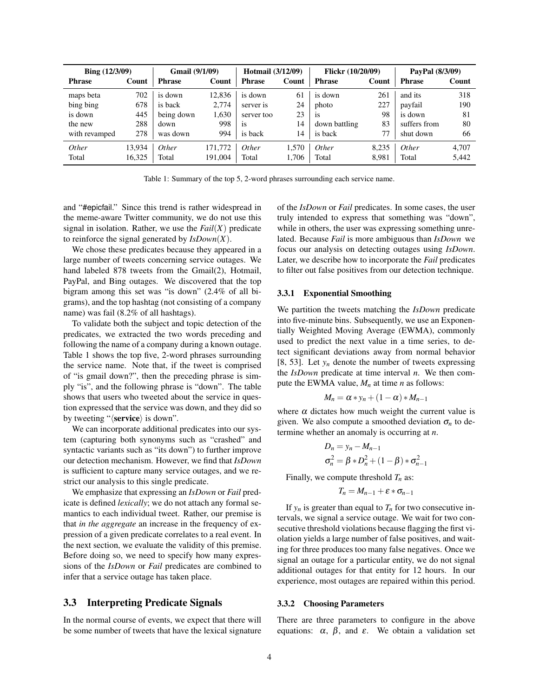| Bing $(12/3/09)$ |        | <b>Gmail</b> (9/1/09) |         | <b>Hotmail</b> (3/12/09) |       | <b>Flickr</b> (10/20/09) |       | PayPal (8/3/09) |       |
|------------------|--------|-----------------------|---------|--------------------------|-------|--------------------------|-------|-----------------|-------|
| <b>Phrase</b>    | Count  | <b>Phrase</b>         | Count   | <b>Phrase</b>            | Count | <b>Phrase</b>            | Count | <b>Phrase</b>   | Count |
| maps beta        | 702    | is down               | 12.836  | is down                  | 61    | is down                  | 261   | and its         | 318   |
| bing bing        | 678    | is back               | 2.774   | server is                | 24    | photo                    | 227   | payfail         | 190   |
| is down          | 445    | being down            | 1.630   | server too               | 23    | <b>1S</b>                | 98    | is down         | 81    |
| the new          | 288    | down                  | 998     | <b>1S</b>                | 14    | down battling            | 83    | suffers from    | 80    |
| with revamped    | 278    | was down              | 994     | is back                  | 14    | is back                  | 77    | shut down       | 66    |
| <i>Other</i>     | 13.934 | <b>Other</b>          | 171,772 | <i>Other</i>             | 1.570 | <i>Other</i>             | 8.235 | <i>Other</i>    | 4,707 |
| Total            | 16,325 | Total                 | 191.004 | Total                    | 1.706 | Total                    | 8,981 | Total           | 5,442 |

Table 1: Summary of the top 5, 2-word phrases surrounding each service name.

and "#epicfail." Since this trend is rather widespread in the meme-aware Twitter community, we do not use this signal in isolation. Rather, we use the  $Fail(X)$  predicate to reinforce the signal generated by *IsDown*(*X*).

We chose these predicates because they appeared in a large number of tweets concerning service outages. We hand labeled 878 tweets from the Gmail(2), Hotmail, PayPal, and Bing outages. We discovered that the top bigram among this set was "is down" (2.4% of all bigrams), and the top hashtag (not consisting of a company name) was fail (8.2% of all hashtags).

To validate both the subject and topic detection of the predicates, we extracted the two words preceding and following the name of a company during a known outage. Table 1 shows the top five, 2-word phrases surrounding the service name. Note that, if the tweet is comprised of "is gmail down?", then the preceding phrase is simply "is", and the following phrase is "down". The table shows that users who tweeted about the service in question expressed that the service was down, and they did so by tweeting " $\langle$ **service** $\rangle$  is down".

We can incorporate additional predicates into our system (capturing both synonyms such as "crashed" and syntactic variants such as "its down") to further improve our detection mechanism. However, we find that *IsDown* is sufficient to capture many service outages, and we restrict our analysis to this single predicate.

We emphasize that expressing an *IsDown* or *Fail* predicate is defined *lexically*; we do not attach any formal semantics to each individual tweet. Rather, our premise is that *in the aggregate* an increase in the frequency of expression of a given predicate correlates to a real event. In the next section, we evaluate the validity of this premise. Before doing so, we need to specify how many expressions of the *IsDown* or *Fail* predicates are combined to infer that a service outage has taken place.

### 3.3 Interpreting Predicate Signals

In the normal course of events, we expect that there will be some number of tweets that have the lexical signature of the *IsDown* or *Fail* predicates. In some cases, the user truly intended to express that something was "down", while in others, the user was expressing something unrelated. Because *Fail* is more ambiguous than *IsDown* we focus our analysis on detecting outages using *IsDown*. Later, we describe how to incorporate the *Fail* predicates to filter out false positives from our detection technique.

#### 3.3.1 Exponential Smoothing

We partition the tweets matching the *IsDown* predicate into five-minute bins. Subsequently, we use an Exponentially Weighted Moving Average (EWMA), commonly used to predict the next value in a time series, to detect significant deviations away from normal behavior [8, 53]. Let  $y_n$  denote the number of tweets expressing the *IsDown* predicate at time interval *n*. We then compute the EWMA value,  $M_n$  at time *n* as follows:

$$
M_n = \alpha * y_n + (1 - \alpha) * M_{n-1}
$$

where  $\alpha$  dictates how much weight the current value is given. We also compute a smoothed deviation  $\sigma_n$  to determine whether an anomaly is occurring at *n*.

$$
D_n = y_n - M_{n-1}
$$
  
\n
$$
\sigma_n^2 = \beta * D_n^2 + (1 - \beta) * \sigma_{n-1}^2
$$

Finally, we compute threshold *T<sup>n</sup>* as:

$$
T_n = M_{n-1} + \varepsilon * \sigma_{n-1}
$$

If  $y_n$  is greater than equal to  $T_n$  for two consecutive intervals, we signal a service outage. We wait for two consecutive threshold violations because flagging the first violation yields a large number of false positives, and waiting for three produces too many false negatives. Once we signal an outage for a particular entity, we do not signal additional outages for that entity for 12 hours. In our experience, most outages are repaired within this period.

#### 3.3.2 Choosing Parameters

There are three parameters to configure in the above equations:  $\alpha$ ,  $\beta$ , and  $\varepsilon$ . We obtain a validation set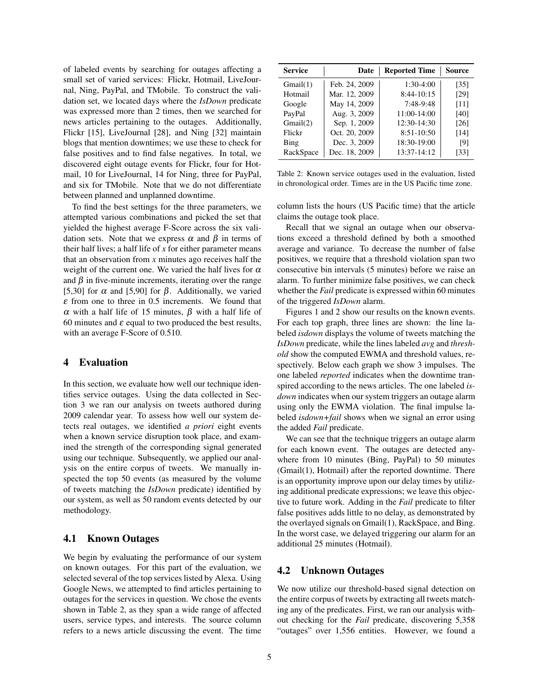of labeled events by searching for outages affecting a small set of varied services: Flickr, Hotmail, LiveJournal, Ning, PayPal, and TMobile. To construct the validation set, we located days where the *IsDown* predicate was expressed more than 2 times, then we searched for news articles pertaining to the outages. Additionally, Flickr [15], LiveJournal [28], and Ning [32] maintain blogs that mention downtimes; we use these to check for false positives and to find false negatives. In total, we discovered eight outage events for Flickr, four for Hotmail, 10 for LiveJournal, 14 for Ning, three for PayPal, and six for TMobile. Note that we do not differentiate between planned and unplanned downtime.

To find the best settings for the three parameters, we attempted various combinations and picked the set that yielded the highest average F-Score across the six validation sets. Note that we express  $\alpha$  and  $\beta$  in terms of their half lives; a half life of *x* for either parameter means that an observation from *x* minutes ago receives half the weight of the current one. We varied the half lives for  $\alpha$ and  $\beta$  in five-minute increments, iterating over the range [5,30] for  $\alpha$  and [5,90] for  $\beta$ . Additionally, we varied  $\epsilon$  from one to three in 0.5 increments. We found that α with a half life of 15 minutes, β with a half life of 60 minutes and  $\varepsilon$  equal to two produced the best results, with an average F-Score of 0.510.

### 4 Evaluation

In this section, we evaluate how well our technique identifies service outages. Using the data collected in Section 3 we ran our analysis on tweets authored during 2009 calendar year. To assess how well our system detects real outages, we identified *a priori* eight events when a known service disruption took place, and examined the strength of the corresponding signal generated using our technique. Subsequently, we applied our analysis on the entire corpus of tweets. We manually inspected the top 50 events (as measured by the volume of tweets matching the *IsDown* predicate) identified by our system, as well as 50 random events detected by our methodology.

### 4.1 Known Outages

We begin by evaluating the performance of our system on known outages. For this part of the evaluation, we selected several of the top services listed by Alexa. Using Google News, we attempted to find articles pertaining to outages for the services in question. We chose the events shown in Table 2, as they span a wide range of affected users, service types, and interests. The source column refers to a news article discussing the event. The time

| <b>Service</b> | Date          | <b>Reported Time</b> | <b>Source</b> |
|----------------|---------------|----------------------|---------------|
| Gmail(1)       | Feb. 24, 2009 | 1:30-4:00            | [35]          |
| Hotmail        | Mar. 12, 2009 | $8:44-10:15$         | [29]          |
| Google         | May 14, 2009  | 7:48-9:48            | [11]          |
| PayPal         | Aug. 3, 2009  | 11:00-14:00          | [40]          |
| Gmail(2)       | Sep. 1, 2009  | 12:30-14:30          | [26]          |
| Flickr         | Oct. 20, 2009 | 8:51-10:50           | $[14]$        |
| Bing           | Dec. 3, 2009  | 18:30-19:00          | [9]           |
| RackSpace      | Dec. 18, 2009 | 13:37-14:12          | [33]          |

Table 2: Known service outages used in the evaluation, listed in chronological order. Times are in the US Pacific time zone.

column lists the hours (US Pacific time) that the article claims the outage took place.

Recall that we signal an outage when our observations exceed a threshold defined by both a smoothed average and variance. To decrease the number of false positives, we require that a threshold violation span two consecutive bin intervals (5 minutes) before we raise an alarm. To further minimize false positives, we can check whether the *Fail* predicate is expressed within 60 minutes of the triggered *IsDown* alarm.

Figures 1 and 2 show our results on the known events. For each top graph, three lines are shown: the line labeled *isdown* displays the volume of tweets matching the *IsDown* predicate, while the lines labeled *avg* and *threshold* show the computed EWMA and threshold values, respectively. Below each graph we show 3 impulses. The one labeled *reported* indicates when the downtime transpired according to the news articles. The one labeled *isdown* indicates when our system triggers an outage alarm using only the EWMA violation. The final impulse labeled *isdown+fail* shows when we signal an error using the added *Fail* predicate.

We can see that the technique triggers an outage alarm for each known event. The outages are detected anywhere from 10 minutes (Bing, PayPal) to 50 minutes (Gmail(1), Hotmail) after the reported downtime. There is an opportunity improve upon our delay times by utilizing additional predicate expressions; we leave this objective to future work. Adding in the *Fail* predicate to filter false positives adds little to no delay, as demonstrated by the overlayed signals on Gmail(1), RackSpace, and Bing. In the worst case, we delayed triggering our alarm for an additional 25 minutes (Hotmail).

### 4.2 Unknown Outages

We now utilize our threshold-based signal detection on the entire corpus of tweets by extracting all tweets matching any of the predicates. First, we ran our analysis without checking for the *Fail* predicate, discovering 5,358 "outages" over 1,556 entities. However, we found a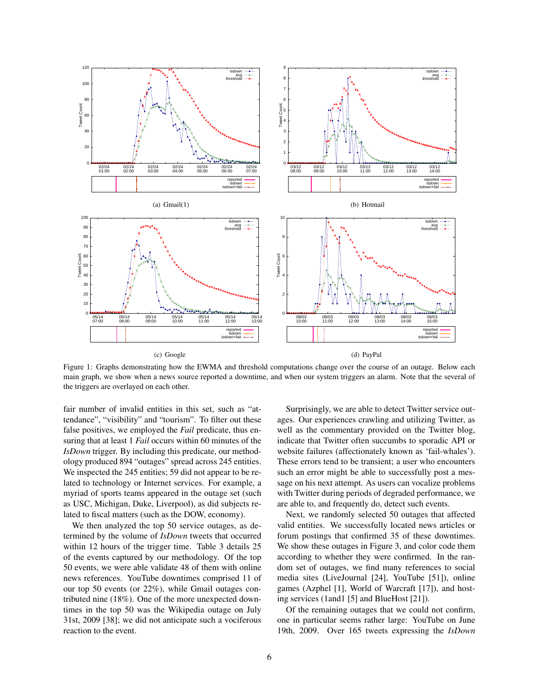

Figure 1: Graphs demonstrating how the EWMA and threshold computations change over the course of an outage. Below each main graph, we show when a news source reported a downtime, and when our system triggers an alarm. Note that the several of the triggers are overlayed on each other.

fair number of invalid entities in this set, such as "attendance", "visibility" and "tourism". To filter out these false positives, we employed the *Fail* predicate, thus ensuring that at least 1 *Fail* occurs within 60 minutes of the *IsDown* trigger. By including this predicate, our methodology produced 894 "outages" spread across 245 entities. We inspected the 245 entities; 59 did not appear to be related to technology or Internet services. For example, a myriad of sports teams appeared in the outage set (such as USC, Michigan, Duke, Liverpool), as did subjects related to fiscal matters (such as the DOW, economy).

We then analyzed the top 50 service outages, as determined by the volume of *IsDown* tweets that occurred within 12 hours of the trigger time. Table 3 details 25 of the events captured by our methodology. Of the top 50 events, we were able validate 48 of them with online news references. YouTube downtimes comprised 11 of our top 50 events (or 22%), while Gmail outages contributed nine (18%). One of the more unexpected downtimes in the top 50 was the Wikipedia outage on July 31st, 2009 [38]; we did not anticipate such a vociferous reaction to the event.

Surprisingly, we are able to detect Twitter service outages. Our experiences crawling and utilizing Twitter, as well as the commentary provided on the Twitter blog, indicate that Twitter often succumbs to sporadic API or website failures (affectionately known as 'fail-whales'). These errors tend to be transient; a user who encounters such an error might be able to successfully post a message on his next attempt. As users can vocalize problems with Twitter during periods of degraded performance, we are able to, and frequently do, detect such events.

Next, we randomly selected 50 outages that affected valid entities. We successfully located news articles or forum postings that confirmed 35 of these downtimes. We show these outages in Figure 3, and color code them according to whether they were confirmed. In the random set of outages, we find many references to social media sites (LiveJournal [24], YouTube [51]), online games (Azphel [1], World of Warcraft [17]), and hosting services (1and1 [5] and BlueHost [21]).

Of the remaining outages that we could not confirm, one in particular seems rather large: YouTube on June 19th, 2009. Over 165 tweets expressing the *IsDown*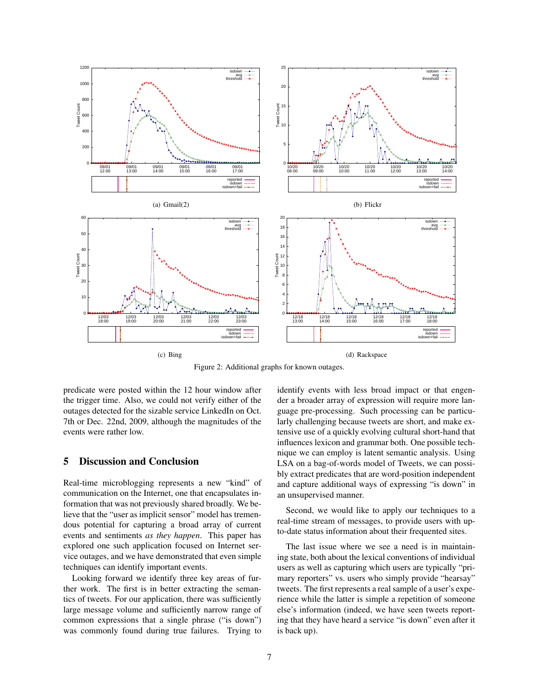

Figure 2: Additional graphs for known outages.

predicate were posted within the 12 hour window after the trigger time. Also, we could not verify either of the outages detected for the sizable service LinkedIn on Oct. 7th or Dec. 22nd, 2009, although the magnitudes of the events were rather low.

## 5 Discussion and Conclusion

Real-time microblogging represents a new "kind" of communication on the Internet, one that encapsulates information that was not previously shared broadly. We believe that the "user as implicit sensor" model has tremendous potential for capturing a broad array of current events and sentiments *as they happen*. This paper has explored one such application focused on Internet service outages, and we have demonstrated that even simple techniques can identify important events.

Looking forward we identify three key areas of further work. The first is in better extracting the semantics of tweets. For our application, there was sufficiently large message volume and sufficiently narrow range of common expressions that a single phrase ("is down") was commonly found during true failures. Trying to identify events with less broad impact or that engender a broader array of expression will require more language pre-processing. Such processing can be particularly challenging because tweets are short, and make extensive use of a quickly evolving cultural short-hand that influences lexicon and grammar both. One possible technique we can employ is latent semantic analysis. Using LSA on a bag-of-words model of Tweets, we can possibly extract predicates that are word-position independent and capture additional ways of expressing "is down" in an unsupervised manner.

Second, we would like to apply our techniques to a real-time stream of messages, to provide users with upto-date status information about their frequented sites.

The last issue where we see a need is in maintaining state, both about the lexical conventions of individual users as well as capturing which users are typically "primary reporters" vs. users who simply provide "hearsay" tweets. The first represents a real sample of a user's experience while the latter is simple a repetition of someone else's information (indeed, we have seen tweets reporting that they have heard a service "is down" even after it is back up).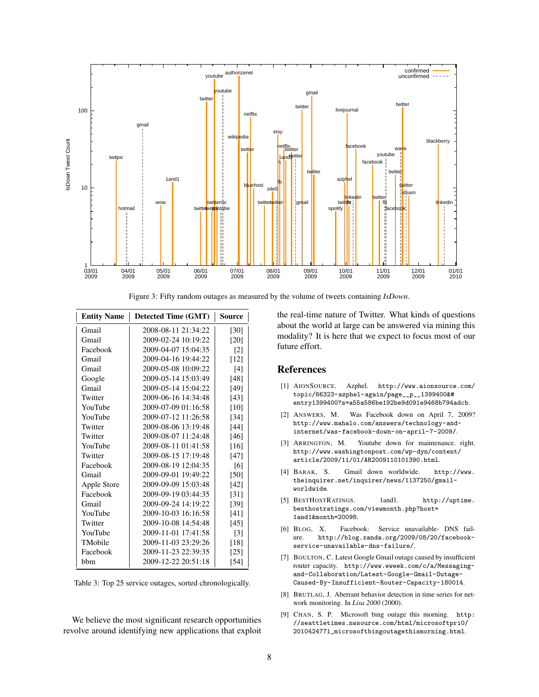

Figure 3: Fifty random outages as measured by the volume of tweets containing *IsDown*.

| <b>Entity Name</b> | <b>Detected Time (GMT)</b> | Source             |
|--------------------|----------------------------|--------------------|
| Gmail              | 2008-08-11 21:34:22        | [30]               |
| Gmail              | 2009-02-24 10:19:22        | [20]               |
| Facebook           | 2009-04-07 15:04:35        | $[2]$              |
| Gmail              | 2009-04-16 19:44:22        | $[12]$             |
| Gmail              | 2009-05-08 10:09:22        | [4]                |
| Google             | 2009-05-14 15:03:49        | $[48]$             |
| Gmail              | 2009-05-14 15:04:22        | [49]               |
| Twitter            | 2009-06-16 14:34:48        | $[43]$             |
| YouTube            | 2009-07-09 01:16:58        | $[10]$             |
| YouTube            | 2009-07-12 11:26:58        | $[34]$             |
| Twitter            | 2009-08-06 13:19:48        | $[44]$             |
| Twitter            | 2009-08-07 11:24:48        | [46]               |
| YouTube            | 2009-08-11 01:41:58        | $[16]$             |
| Twitter            | 2009-08-15 17:19:48        | [47]               |
| Facebook           | 2009-08-19 12:04:35        | [6]                |
| Gmail              | 2009-09-01 19:49:22        | [50]               |
| Apple Store        | 2009-09-09 15:03:48        | [42]               |
| Facebook           | 2009-09-19 03:44:35        | $\lceil 31 \rceil$ |
| Gmail              | 2009-09-24 14:19:22        | [39]               |
| YouTube            | 2009-10-03 16:16:58        | [41]               |
| Twitter            | 2009-10-08 14:54:48        | $[45]$             |
| YouTube            | 2009-11-01 17:41:58        | $[3]$              |
| TMobile            | 2009-11-03 23:29:26        | $[18]$             |
| Facebook           | 2009-11-23 22:39:35        | [25]               |
| bbm                | 2009-12-22 20:51:18        | [54]               |

Table 3: Top 25 service outages, sorted chronologically.

We believe the most significant research opportunities revolve around identifying new applications that exploit the real-time nature of Twitter. What kinds of questions about the world at large can be answered via mining this modality? It is here that we expect to focus most of our future effort.

#### **References**

- [1] AIONSOURCE. Azphel. http://www.aionsource.com/ topic/66323-azphel-again/page\_\_p\_\_1399400&# entry1399400?s=a55a586be192be9d091e9468b794adcb.
- [2] ANSWERS, M. Was Facebook down on April 7, 2009? http://www.mahalo.com/answers/technology-andinternet/was-facebook-down-on-april-7-2009/.
- [3] ARRINGTON, M. Youtube down for maintenance. right. http://www.washingtonpost.com/wp-dyn/content/ article/2009/11/01/AR2009110101390.html.
- [4] BARAK, S. Gmail down worldwide. http://www. theinquirer.net/inquirer/news/1137250/gmailworldwide.
- [5] BESTHOSTRATINGS. 1and1. http://uptime. besthostratings.com/viewmonth.php?host= 1and1&month=20098.
- [6] BLOG, X. Facebook: Service unavailable- DNS failure. http://blog.xanda.org/2009/08/20/facebookservice-unavailable-dns-failure/.
- [7] BOULTON, C. Latest Google Gmail outage caused by insufficient router capacity. http://www.eweek.com/c/a/Messagingand-Collaboration/Latest-Google-Gmail-Outage-Caused-By-Insufficient-Router-Capacity-180014.
- [8] BRUTLAG, J. Aberrant behavior detection in time series for network monitoring. In *Lisa 2000* (2000).
- [9] CHAN, S. P. Microsoft bing outage this morning. http: //seattletimes.nwsource.com/html/microsoftpri0/ 2010424771\_microsoftbingoutagethismorning.html.